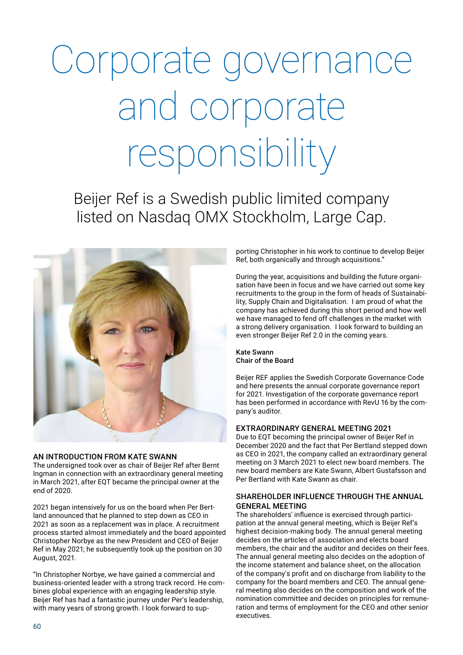# Corporate governance and corporate responsibility

Beijer Ref is a Swedish public limited company listed on Nasdaq OMX Stockholm, Large Cap.



# AN INTRODUCTION FROM KATE SWANN

The undersigned took over as chair of Beijer Ref after Bernt Ingman in connection with an extraordinary general meeting in March 2021, after EQT became the principal owner at the end of 2020.

2021 began intensively for us on the board when Per Bertland announced that he planned to step down as CEO in 2021 as soon as a replacement was in place. A recruitment process started almost immediately and the board appointed Christopher Norbye as the new President and CEO of Beijer Ref in May 2021; he subsequently took up the position on 30 August, 2021.

"In Christopher Norbye, we have gained a commercial and business-oriented leader with a strong track record. He combines global experience with an engaging leadership style. Beijer Ref has had a fantastic journey under Per's leadership, with many years of strong growth. I look forward to supporting Christopher in his work to continue to develop Beijer Ref, both organically and through acquisitions."

During the year, acquisitions and building the future organisation have been in focus and we have carried out some key recruitments to the group in the form of heads of Sustainability, Supply Chain and Digitalisation. I am proud of what the company has achieved during this short period and how well we have managed to fend off challenges in the market with a strong delivery organisation. I look forward to building an even stronger Beijer Ref 2.0 in the coming years.

### Kate Swann Chair of the Board

Beijer REF applies the Swedish Corporate Governance Code and here presents the annual corporate governance report for 2021. Investigation of the corporate governance report has been performed in accordance with RevU 16 by the company's auditor.

# EXTRAORDINARY GENERAL MEETING 2021

Due to EQT becoming the principal owner of Beijer Ref in December 2020 and the fact that Per Bertland stepped down as CEO in 2021, the company called an extraordinary general meeting on 3 March 2021 to elect new board members. The new board members are Kate Swann, Albert Gustafsson and Per Bertland with Kate Swann as chair.

## SHAREHOLDER INFLUENCE THROUGH THE ANNUAL GENERAL MEETING

The shareholders' influence is exercised through participation at the annual general meeting, which is Beijer Ref's highest decision-making body. The annual general meeting decides on the articles of association and elects board members, the chair and the auditor and decides on their fees. The annual general meeting also decides on the adoption of the income statement and balance sheet, on the allocation of the company's profit and on discharge from liability to the company for the board members and CEO. The annual general meeting also decides on the composition and work of the nomination committee and decides on principles for remuneration and terms of employment for the CEO and other senior executives.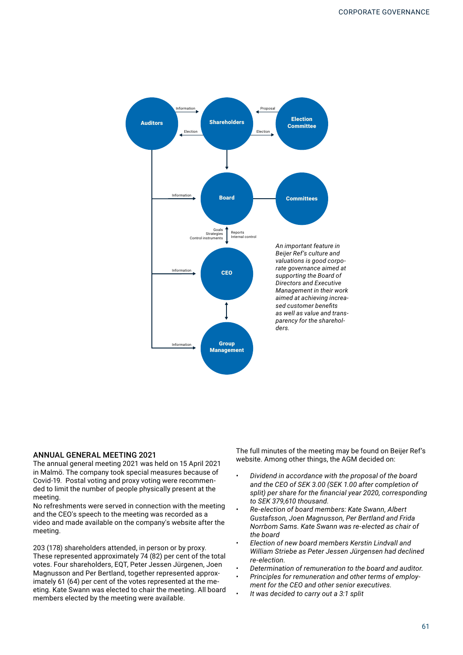

### ANNUAL GENERAL MEETING 2021

The annual general meeting 2021 was held on 15 April 2021 in Malmö. The company took special measures because of Covid-19. Postal voting and proxy voting were recommended to limit the number of people physically present at the meeting.

No refreshments were served in connection with the meeting and the CEO's speech to the meeting was recorded as a video and made available on the company's website after the meeting.

203 (178) shareholders attended, in person or by proxy. These represented approximately 74 (82) per cent of the total votes. Four shareholders, EQT, Peter Jessen Jürgenen, Joen Magnusson and Per Bertland, together represented approximately 61 (64) per cent of the votes represented at the meeting. Kate Swann was elected to chair the meeting. All board members elected by the meeting were available.

The full minutes of the meeting may be found on Beijer Ref's website. Among other things, the AGM decided on:

- *• Dividend in accordance with the proposal of the board and the CEO of SEK 3.00 (SEK 1.00 after completion of split) per share for the financial year 2020, corresponding to SEK 379,610 thousand.*
- *• Re-election of board members: Kate Swann, Albert Gustafsson, Joen Magnusson, Per Bertland and Frida Norrbom Sams. Kate Swann was re-elected as chair of the board*
- *• Election of new board members Kerstin Lindvall and William Striebe as Peter Jessen Jürgensen had declined re-election.*
- *• Determination of remuneration to the board and auditor.*
- *• Principles for remuneration and other terms of employment for the CEO and other senior executives.*
- *• It was decided to carry out a 3:1 split*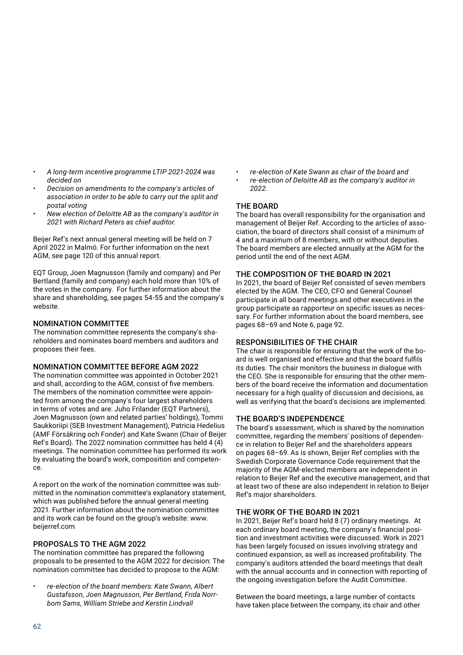- *• A long-term incentive programme LTIP 2021-2024 was decided on*
- *• Decision on amendments to the company's articles of association in order to be able to carry out the split and postal voting*
- *• New election of Deloitte AB as the company's auditor in 2021 with Richard Peters as chief auditor.*

Beijer Ref's next annual general meeting will be held on 7 April 2022 in Malmö. For further information on the next AGM, see page 120 of this annual report.

EQT Group, Joen Magnusson (family and company) and Per Bertland (family and company) each hold more than 10% of the votes in the company. For further information about the share and shareholding, see pages 54-55 and the company's website.

# NOMINATION COMMITTEE

The nomination committee represents the company's shareholders and nominates board members and auditors and proposes their fees.

# NOMINATION COMMITTEE BEFORE AGM 2022

The nomination committee was appointed in October 2021 and shall, according to the AGM, consist of five members. The members of the nomination committee were appointed from among the company's four largest shareholders in terms of votes and are: Juho Frilander (EQT Partners), Joen Magnusson (own and related parties' holdings), Tommi Saukkoriipi (SEB Investment Management), Patricia Hedelius (AMF Försäkring och Fonder) and Kate Swann (Chair of Beijer Ref's Board). The 2022 nomination committee has held 4 (4) meetings. The nomination committee has performed its work by evaluating the board's work, composition and competence.

A report on the work of the nomination committee was submitted in the nomination committee's explanatory statement, which was published before the annual general meeting 2021. Further information about the nomination committee and its work can be found on the group's website: www. beijerref.com

# PROPOSALS TO THE AGM 2022

The nomination committee has prepared the following proposals to be presented to the AGM 2022 for decision: The nomination committee has decided to propose to the AGM:

*• re-election of the board members: Kate Swann, Albert Gustafsson, Joen Magnusson, Per Bertland, Frida Norrbom Sams, William Striebe and Kerstin Lindvall*

*• re-election of Kate Swann as chair of the board and • re-election of Deloitte AB as the company's auditor in 2022.*

# THE BOARD

The board has overall responsibility for the organisation and management of Beijer Ref. According to the articles of association, the board of directors shall consist of a minimum of 4 and a maximum of 8 members, with or without deputies. The board members are elected annually at the AGM for the period until the end of the next AGM.

## THE COMPOSITION OF THE BOARD IN 2021

In 2021, the board of Beijer Ref consisted of seven members elected by the AGM. The CEO, CFO and General Counsel participate in all board meetings and other executives in the group participate as rapporteur on specific issues as necessary. For further information about the board members, see pages 68–69 and Note 6, page 92.

# RESPONSIBILITIES OF THE CHAIR

The chair is responsible for ensuring that the work of the board is well organised and effective and that the board fulfils its duties. The chair monitors the business in dialogue with the CEO. She is responsible for ensuring that the other members of the board receive the information and documentation necessary for a high quality of discussion and decisions, as well as verifying that the board's decisions are implemented.

## THE BOARD'S INDEPENDENCE

The board's assessment, which is shared by the nomination committee, regarding the members' positions of dependence in relation to Beijer Ref and the shareholders appears on pages 68–69. As is shown, Beijer Ref complies with the Swedish Corporate Governance Code requirement that the majority of the AGM-elected members are independent in relation to Beijer Ref and the executive management, and that at least two of these are also independent in relation to Beijer Ref's major shareholders.

# THE WORK OF THE BOARD IN 2021

In 2021, Beijer Ref's board held 8 (7) ordinary meetings. At each ordinary board meeting, the company's financial position and investment activities were discussed. Work in 2021 has been largely focused on issues involving strategy and continued expansion, as well as increased profitability. The company's auditors attended the board meetings that dealt with the annual accounts and in connection with reporting of the ongoing investigation before the Audit Committee.

Between the board meetings, a large number of contacts have taken place between the company, its chair and other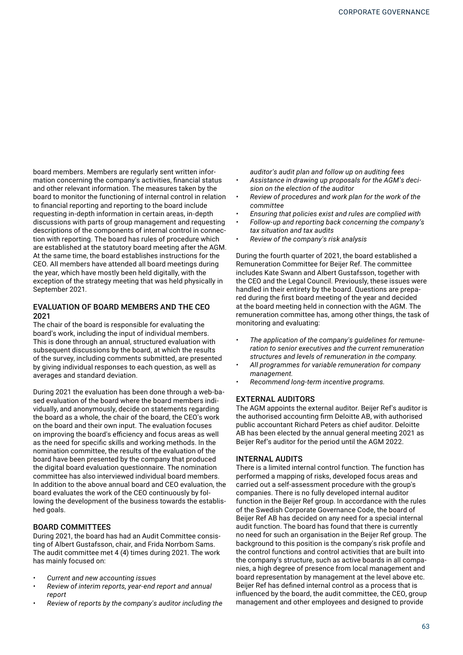board members. Members are regularly sent written information concerning the company's activities, financial status and other relevant information. The measures taken by the board to monitor the functioning of internal control in relation to financial reporting and reporting to the board include requesting in-depth information in certain areas, in-depth discussions with parts of group management and requesting descriptions of the components of internal control in connection with reporting. The board has rules of procedure which are established at the statutory board meeting after the AGM. At the same time, the board establishes instructions for the CEO. All members have attended all board meetings during the year, which have mostly been held digitally, with the exception of the strategy meeting that was held physically in September 2021.

## EVALUATION OF BOARD MEMBERS AND THE CEO 2021

The chair of the board is responsible for evaluating the board's work, including the input of individual members. This is done through an annual, structured evaluation with subsequent discussions by the board, at which the results of the survey, including comments submitted, are presented by giving individual responses to each question, as well as averages and standard deviation.

During 2021 the evaluation has been done through a web-based evaluation of the board where the board members individually, and anonymously, decide on statements regarding the board as a whole, the chair of the board, the CEO's work on the board and their own input. The evaluation focuses on improving the board's efficiency and focus areas as well as the need for specific skills and working methods. In the nomination committee, the results of the evaluation of the board have been presented by the company that produced the digital board evaluation questionnaire. The nomination committee has also interviewed individual board members. In addition to the above annual board and CEO evaluation, the board evaluates the work of the CEO continuously by following the development of the business towards the established goals.

## BOARD COMMITTEES

During 2021, the board has had an Audit Committee consisting of Albert Gustafsson, chair, and Frida Norrbom Sams. The audit committee met 4 (4) times during 2021. The work has mainly focused on:

- *• Current and new accounting issues*
- *• Review of interim reports, year-end report and annual report*
- *• Review of reports by the company's auditor including the*

*auditor's audit plan and follow up on auditing fees*

- *• Assistance in drawing up proposals for the AGM's decision on the election of the auditor*
- *• Review of procedures and work plan for the work of the committee*
- *• Ensuring that policies exist and rules are complied with*
- *• Follow-up and reporting back concerning the company's tax situation and tax audits*
- *• Review of the company's risk analysis*

During the fourth quarter of 2021, the board established a Remuneration Committee for Beijer Ref. The committee includes Kate Swann and Albert Gustafsson, together with the CEO and the Legal Council. Previously, these issues were handled in their entirety by the board. Questions are prepared during the first board meeting of the year and decided at the board meeting held in connection with the AGM. The remuneration committee has, among other things, the task of monitoring and evaluating:

- *• The application of the company's guidelines for remuneration to senior executives and the current remuneration structures and levels of remuneration in the company.*
- *• All programmes for variable remuneration for company management.*
- *• Recommend long-term incentive programs.*

### EXTERNAL AUDITORS

The AGM appoints the external auditor. Beijer Ref's auditor is the authorised accounting firm Deloitte AB, with authorised public accountant Richard Peters as chief auditor. Deloitte AB has been elected by the annual general meeting 2021 as Beijer Ref's auditor for the period until the AGM 2022.

#### INTERNAL AUDITS

There is a limited internal control function. The function has performed a mapping of risks, developed focus areas and carried out a self-assessment procedure with the group's companies. There is no fully developed internal auditor function in the Beijer Ref group. In accordance with the rules of the Swedish Corporate Governance Code, the board of Beijer Ref AB has decided on any need for a special internal audit function. The board has found that there is currently no need for such an organisation in the Beijer Ref group. The background to this position is the company's risk profile and the control functions and control activities that are built into the company's structure, such as active boards in all companies, a high degree of presence from local management and board representation by management at the level above etc. Beijer Ref has defined internal control as a process that is influenced by the board, the audit committee, the CEO, group management and other employees and designed to provide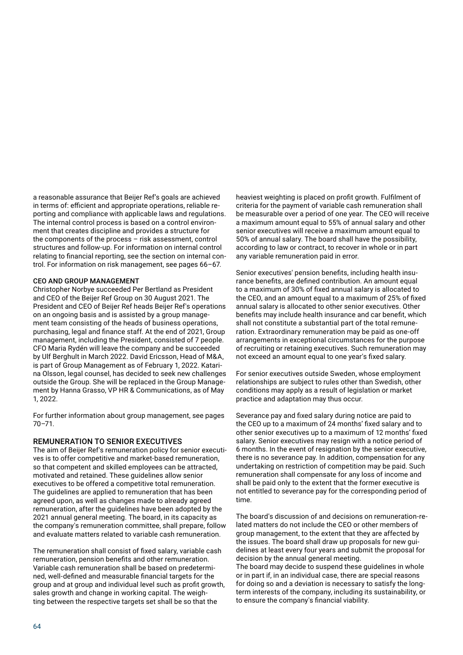a reasonable assurance that Beijer Ref's goals are achieved in terms of: efficient and appropriate operations, reliable reporting and compliance with applicable laws and regulations. The internal control process is based on a control environment that creates discipline and provides a structure for the components of the process – risk assessment, control structures and follow-up. For information on internal control relating to financial reporting, see the section on internal control. For information on risk management, see pages 66–67.

### CEO AND GROUP MANAGEMENT

Christopher Norbye succeeded Per Bertland as President and CEO of the Beijer Ref Group on 30 August 2021. The President and CEO of Beijer Ref heads Beijer Ref's operations on an ongoing basis and is assisted by a group management team consisting of the heads of business operations, purchasing, legal and finance staff. At the end of 2021, Group management, including the President, consisted of 7 people. CFO Maria Rydén will leave the company and be succeeded by Ulf Berghult in March 2022. David Ericsson, Head of M&A, is part of Group Management as of February 1, 2022. Katarina Olsson, legal counsel, has decided to seek new challenges outside the Group. She will be replaced in the Group Management by Hanna Grasso, VP HR & Communications, as of May 1, 2022.

For further information about group management, see pages 70–71.

#### REMUNERATION TO SENIOR EXECUTIVES

The aim of Beijer Ref's remuneration policy for senior executives is to offer competitive and market-based remuneration, so that competent and skilled employees can be attracted, motivated and retained. These guidelines allow senior executives to be offered a competitive total remuneration. The guidelines are applied to remuneration that has been agreed upon, as well as changes made to already agreed remuneration, after the guidelines have been adopted by the 2021 annual general meeting. The board, in its capacity as the company's remuneration committee, shall prepare, follow and evaluate matters related to variable cash remuneration.

The remuneration shall consist of fixed salary, variable cash remuneration, pension benefits and other remuneration. Variable cash remuneration shall be based on predetermined, well-defined and measurable financial targets for the group and at group and individual level such as profit growth, sales growth and change in working capital. The weighting between the respective targets set shall be so that the

heaviest weighting is placed on profit growth. Fulfilment of criteria for the payment of variable cash remuneration shall be measurable over a period of one year. The CEO will receive a maximum amount equal to 55% of annual salary and other senior executives will receive a maximum amount equal to 50% of annual salary. The board shall have the possibility, according to law or contract, to recover in whole or in part any variable remuneration paid in error.

Senior executives' pension benefits, including health insurance benefits, are defined contribution. An amount equal to a maximum of 30% of fixed annual salary is allocated to the CEO, and an amount equal to a maximum of 25% of fixed annual salary is allocated to other senior executives. Other benefits may include health insurance and car benefit, which shall not constitute a substantial part of the total remuneration. Extraordinary remuneration may be paid as one-off arrangements in exceptional circumstances for the purpose of recruiting or retaining executives. Such remuneration may not exceed an amount equal to one year's fixed salary.

For senior executives outside Sweden, whose employment relationships are subject to rules other than Swedish, other conditions may apply as a result of legislation or market practice and adaptation may thus occur.

Severance pay and fixed salary during notice are paid to the CEO up to a maximum of 24 months' fixed salary and to other senior executives up to a maximum of 12 months' fixed salary. Senior executives may resign with a notice period of 6 months. In the event of resignation by the senior executive, there is no severance pay. In addition, compensation for any undertaking on restriction of competition may be paid. Such remuneration shall compensate for any loss of income and shall be paid only to the extent that the former executive is not entitled to severance pay for the corresponding period of time.

The board's discussion of and decisions on remuneration-related matters do not include the CEO or other members of group management, to the extent that they are affected by the issues. The board shall draw up proposals for new guidelines at least every four years and submit the proposal for decision by the annual general meeting.

The board may decide to suspend these guidelines in whole or in part if, in an individual case, there are special reasons for doing so and a deviation is necessary to satisfy the longterm interests of the company, including its sustainability, or to ensure the company's financial viability.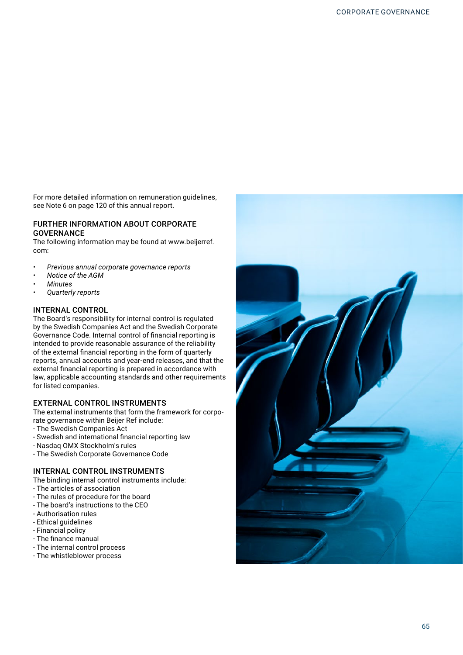For more detailed information on remuneration guidelines, see Note 6 on page 120 of this annual report.

## FURTHER INFORMATION ABOUT CORPORATE **GOVERNANCE**

The following information may be found at www.beijerref. com:

- *• Previous annual corporate governance reports*
- *• Notice of the AGM*
- *• Minutes*
- *• Quarterly reports*

## INTERNAL CONTROL

The Board's responsibility for internal control is regulated by the Swedish Companies Act and the Swedish Corporate Governance Code. Internal control of financial reporting is intended to provide reasonable assurance of the reliability of the external financial reporting in the form of quarterly reports, annual accounts and year-end releases, and that the external financial reporting is prepared in accordance with law, applicable accounting standards and other requirements for listed companies.

# EXTERNAL CONTROL INSTRUMENTS

The external instruments that form the framework for corporate governance within Beijer Ref include:

- The Swedish Companies Act
- Swedish and international financial reporting law
- Nasdaq OMX Stockholm's rules
- The Swedish Corporate Governance Code

# INTERNAL CONTROL INSTRUMENTS

The binding internal control instruments include:

- The articles of association
- The rules of procedure for the board
- The board's instructions to the CEO
- Authorisation rules
- Ethical guidelines
- Financial policy
- The finance manual
- The internal control process
- The whistleblower process

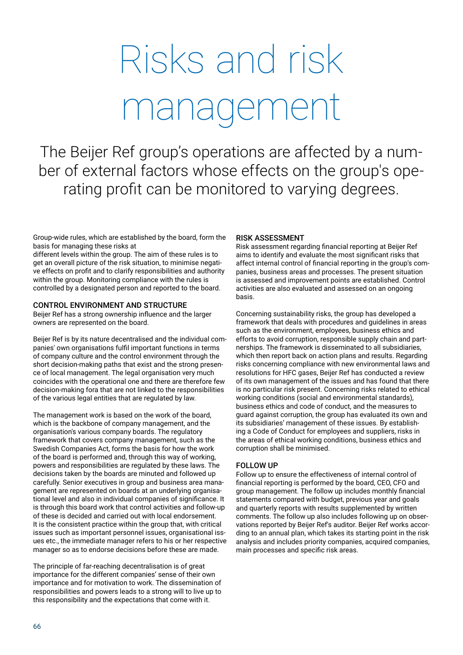# Risks and risk management

The Beijer Ref group's operations are affected by a number of external factors whose effects on the group's operating profit can be monitored to varying degrees.

Group-wide rules, which are established by the board, form the basis for managing these risks at

different levels within the group. The aim of these rules is to get an overall picture of the risk situation, to minimise negative effects on profit and to clarify responsibilities and authority within the group. Monitoring compliance with the rules is controlled by a designated person and reported to the board.

## CONTROL ENVIRONMENT AND STRUCTURE

Beijer Ref has a strong ownership influence and the larger owners are represented on the board.

Beijer Ref is by its nature decentralised and the individual companies' own organisations fulfil important functions in terms of company culture and the control environment through the short decision-making paths that exist and the strong presence of local management. The legal organisation very much coincides with the operational one and there are therefore few decision-making fora that are not linked to the responsibilities of the various legal entities that are regulated by law.

The management work is based on the work of the board, which is the backbone of company management, and the organisation's various company boards. The regulatory framework that covers company management, such as the Swedish Companies Act, forms the basis for how the work of the board is performed and, through this way of working, powers and responsibilities are regulated by these laws. The decisions taken by the boards are minuted and followed up carefully. Senior executives in group and business area management are represented on boards at an underlying organisational level and also in individual companies of significance. It is through this board work that control activities and follow-up of these is decided and carried out with local endorsement. It is the consistent practice within the group that, with critical issues such as important personnel issues, organisational issues etc., the immediate manager refers to his or her respective manager so as to endorse decisions before these are made.

The principle of far-reaching decentralisation is of great importance for the different companies' sense of their own importance and for motivation to work. The dissemination of responsibilities and powers leads to a strong will to live up to this responsibility and the expectations that come with it.

## RISK ASSESSMENT

Risk assessment regarding financial reporting at Beijer Ref aims to identify and evaluate the most significant risks that affect internal control of financial reporting in the group's companies, business areas and processes. The present situation is assessed and improvement points are established. Control activities are also evaluated and assessed on an ongoing basis.

Concerning sustainability risks, the group has developed a framework that deals with procedures and guidelines in areas such as the environment, employees, business ethics and efforts to avoid corruption, responsible supply chain and partnerships. The framework is disseminated to all subsidiaries, which then report back on action plans and results. Regarding risks concerning compliance with new environmental laws and resolutions for HFC gases, Beijer Ref has conducted a review of its own management of the issues and has found that there is no particular risk present. Concerning risks related to ethical working conditions (social and environmental standards), business ethics and code of conduct, and the measures to guard against corruption, the group has evaluated its own and its subsidiaries' management of these issues. By establishing a Code of Conduct for employees and suppliers, risks in the areas of ethical working conditions, business ethics and corruption shall be minimised.

## FOLLOW UP

Follow up to ensure the effectiveness of internal control of financial reporting is performed by the board, CEO, CFO and group management. The follow up includes monthly financial statements compared with budget, previous year and goals and quarterly reports with results supplemented by written comments. The follow up also includes following up on observations reported by Beijer Ref's auditor. Beijer Ref works according to an annual plan, which takes its starting point in the risk analysis and includes priority companies, acquired companies, main processes and specific risk areas.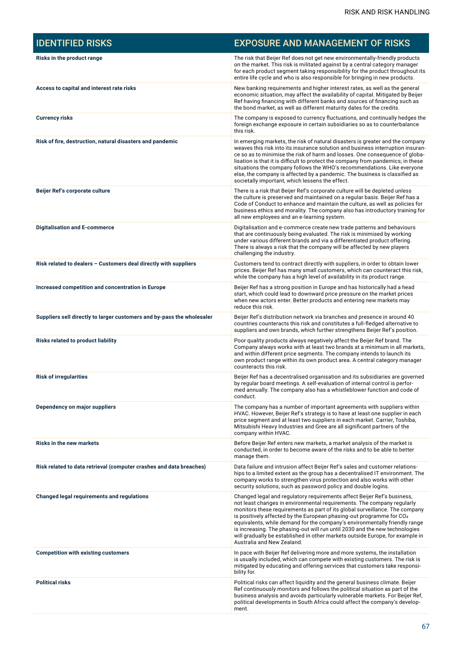| <b>IDENTIFIED RISKS</b>                                                | <b>EXPOSURE AND MANAGEMENT OF RISKS</b>                                                                                                                                                                                                                                                                                                                                                                                                                                                                                                                                                          |
|------------------------------------------------------------------------|--------------------------------------------------------------------------------------------------------------------------------------------------------------------------------------------------------------------------------------------------------------------------------------------------------------------------------------------------------------------------------------------------------------------------------------------------------------------------------------------------------------------------------------------------------------------------------------------------|
| Risks in the product range                                             | The risk that Beijer Ref does not get new environmentally-friendly products<br>on the market. This risk is militated against by a central category manager<br>for each product segment taking responsibility for the product throughout its<br>entire life cycle and who is also responsible for bringing in new products.                                                                                                                                                                                                                                                                       |
| Access to capital and interest rate risks                              | New banking requirements and higher interest rates, as well as the general<br>economic situation, may affect the availability of capital. Mitigated by Beijer<br>Ref having financing with different banks and sources of financing such as<br>the bond market, as well as different maturity dates for the credits.                                                                                                                                                                                                                                                                             |
| <b>Currency risks</b>                                                  | The company is exposed to currency fluctuations, and continually hedges the<br>foreign exchange exposure in certain subsidiaries so as to counterbalance<br>this risk.                                                                                                                                                                                                                                                                                                                                                                                                                           |
| Risk of fire, destruction, natural disasters and pandemic              | In emerging markets, the risk of natural disasters is greater and the company<br>weaves this risk into its insurance solution and business interruption insuran-<br>ce so as to minimise the risk of harm and losses. One consequence of globa-<br>lisation is that it is difficult to protect the company from pandemics; in these<br>situations the company follows the WHO's recommendations. Like everyone<br>else, the company is affected by a pandemic. The business is classified as<br>societally important, which lessens the effect.                                                  |
| Beijer Ref's corporate culture                                         | There is a risk that Beijer Ref's corporate culture will be depleted unless<br>the culture is preserved and maintained on a regular basis. Beijer Ref has a<br>Code of Conduct to enhance and maintain the culture, as well as policies for<br>business ethics and morality. The company also has introductory training for<br>all new employees and an e-learning system.                                                                                                                                                                                                                       |
| <b>Digitalisation and E-commerce</b>                                   | Digitalisation and e-commerce create new trade patterns and behaviours<br>that are continuously being evaluated. The risk is minimised by working<br>under various different brands and via a differentiated product offering.<br>There is always a risk that the company will be affected by new players<br>challenging the industry.                                                                                                                                                                                                                                                           |
| Risk related to dealers - Customers deal directly with suppliers       | Customers tend to contract directly with suppliers, in order to obtain lower<br>prices. Beijer Ref has many small customers, which can counteract this risk,<br>while the company has a high level of availability in its product range.                                                                                                                                                                                                                                                                                                                                                         |
| Increased competition and concentration in Europe                      | Beijer Ref has a strong position in Europe and has historically had a head<br>start, which could lead to downward price pressure on the market prices<br>when new actors enter. Better products and entering new markets may<br>reduce this risk.                                                                                                                                                                                                                                                                                                                                                |
| Suppliers sell directly to larger customers and by-pass the wholesaler | Beijer Ref's distribution network via branches and presence in around 40<br>countries counteracts this risk and constitutes a full-fledged alternative to<br>suppliers and own brands, which further strengthens Beijer Ref's position.                                                                                                                                                                                                                                                                                                                                                          |
| <b>Risks related to product liability</b>                              | Poor quality products always negatively affect the Beijer Ref brand. The<br>Company always works with at least two brands at a minimum in all markets,<br>and within different price segments. The company intends to launch its<br>own product range within its own product area. A central category manager<br>counteracts this risk.                                                                                                                                                                                                                                                          |
| <b>Risk of irregularities</b>                                          | Beijer Ref has a decentralised organisation and its subsidiaries are governed<br>by regular board meetings. A self-evaluation of internal control is perfor-<br>med annually. The company also has a whistleblower function and code of<br>conduct.                                                                                                                                                                                                                                                                                                                                              |
| Dependency on major suppliers                                          | The company has a number of important agreements with suppliers within<br>HVAC. However, Beijer Ref's strategy is to have at least one supplier in each<br>price segment and at least two suppliers in each market. Carrier, Toshiba,<br>Mitsubishi Heavy Industries and Gree are all significant partners of the<br>company within HVAC.                                                                                                                                                                                                                                                        |
| <b>Risks in the new markets</b>                                        | Before Beijer Ref enters new markets, a market analysis of the market is<br>conducted, in order to become aware of the risks and to be able to better<br>manage them.                                                                                                                                                                                                                                                                                                                                                                                                                            |
| Risk related to data retrieval (computer crashes and data breaches)    | Data failure and intrusion affect Beijer Ref's sales and customer relations-<br>hips to a limited extent as the group has a decentralised IT environment. The<br>company works to strengthen virus protection and also works with other<br>security solutions, such as password policy and double logins.                                                                                                                                                                                                                                                                                        |
| <b>Changed legal requirements and regulations</b>                      | Changed legal and regulatory requirements affect Beijer Ref's business,<br>not least changes in environmental requirements. The company regularly<br>monitors these requirements as part of its global surveillance. The company<br>is positively affected by the European phasing-out programme for CO <sub>2</sub><br>equivalents, while demand for the company's environmentally friendly range<br>is increasing. The phasing-out will run until 2030 and the new technologies<br>will gradually be established in other markets outside Europe, for example in<br>Australia and New Zealand. |
| <b>Competition with existing customers</b>                             | In pace with Beijer Ref delivering more and more systems, the installation<br>is usually included, which can compete with existing customers. The risk is<br>mitigated by educating and offering services that customers take responsi-<br>bility for.                                                                                                                                                                                                                                                                                                                                           |
| <b>Political risks</b>                                                 | Political risks can affect liquidity and the general business climate. Beijer<br>Ref continuously monitors and follows the political situation as part of the<br>business analysis and avoids particularly vulnerable markets. For Beijer Ref,<br>political developments in South Africa could affect the company's develop-<br>ment.                                                                                                                                                                                                                                                            |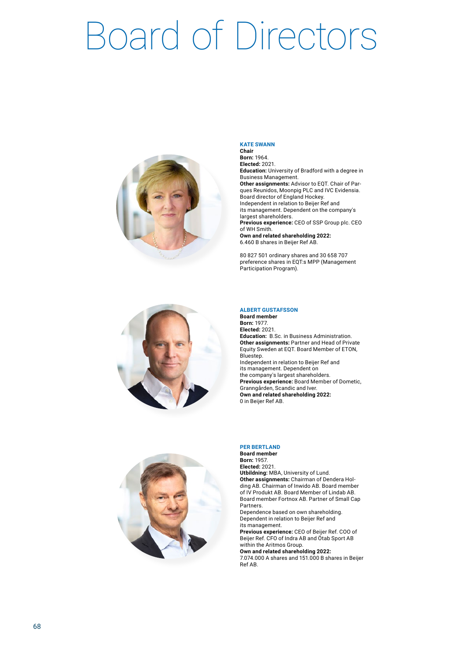# Board of Directors



#### **KATE SWANN Chair**

**Born:** 1964. **Elected:** 2021. **Education:** University of Bradford with a degree in Business Management. **Other assignments:** Advisor to EQT. Chair of Parques Reunidos, Moonpig PLC and IVC Evidensia. Board director of England Hockey. Independent in relation to Beijer Ref and its management. Dependent on the company's largest shareholders. **Previous experience:** CEO of SSP Group plc. CEO of WH Smith. **Own and related shareholding 2022:** 6.460 B shares in Beijer Ref AB.

80 827 501 ordinary shares and 30 658 707 preference shares in EQT:s MPP (Management Participation Program).



#### **ALBERT GUSTAFSSON**

**Board member Born:** 1977. **Elected:** 2021. **Education:** B.Sc. in Business Administration. **Other assignments:** Partner and Head of Private Equity Sweden at EQT. Board Member of ETON, Bluestep. Independent in relation to Beijer Ref and its management. Dependent on the company's largest shareholders. **Previous experience:** Board Member of Dometic, Granngården, Scandic and Iver. **Own and related shareholding 2022:** 0 in Beijer Ref AB.



#### **PER BERTLAND**

**Board member Born:** 1957. **Elected:** 2021. **Utbildning:** MBA, University of Lund. **Other assignments:** Chairman of Dendera Holding AB. Chairman of Inwido AB. Board member of IV Produkt AB. Board Member of Lindab AB. Board member Fortnox AB. Partner of Small Cap Partners.

Dependence based on own shareholding. Dependent in relation to Beijer Ref and its management.

**Previous experience:** CEO of Beijer Ref. COO of Beijer Ref. CFO of Indra AB and Ötab Sport AB within the Aritmos Group.

**Own and related shareholding 2022:**

7.074.000 A shares and 151.000 B shares in Beijer Ref AB.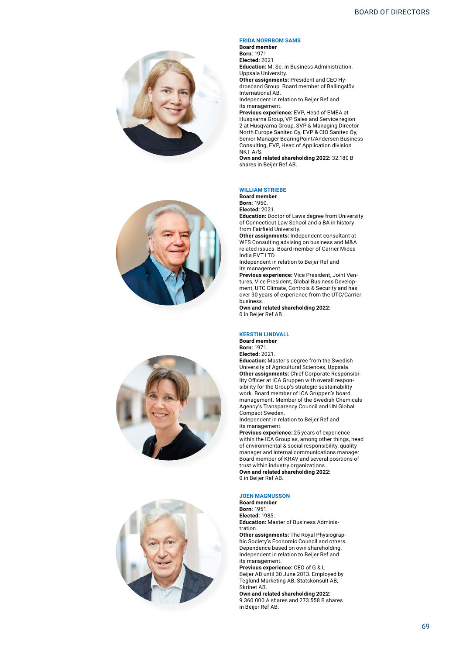







#### **FRIDA NORRBOM SAMS**

**Board member Born:** 1971 **Elected:** 2021 **Education:** M. Sc. in Business Administration, Uppsala University. **Other assignments:** President and CEO Hydroscand Group. Board member of Ballingslöv International AB. Independent in relation to Beijer Ref and its management. **Previous experience:** EVP, Head of EMEA at

Husqvarna Group, VP Sales and Service region 2 at Husqvarna Group, SVP & Managing Director North Europe Sanitec Oy, EVP & CIO Sanitec Oy, Senior Manager BearingPoint/Andersen Business Consulting, EVP, Head of Application division NKT A/S.

**Own and related shareholding 2022:** 32.180 B shares in Beijer Ref AB.

#### **WILLIAM STRIEBE**

**Board member**

**Born:** 1950. **Elected:** 2021.

**Education:** Doctor of Laws degree from University of Connecticut Law School and a BA in history from Fairfield University.

**Other assignments:** Independent consultant at WFS Consulting advising on business and M&A related issues. Board member of Carrier Midea India PVT LTD.

Independent in relation to Beijer Ref and its management.

**Previous experience:** Vice President, Joint Ventures, Vice President, Global Business Development, UTC Climate, Controls & Security and has over 30 years of experience from the UTC/Carrier business.

**Own and related shareholding 2022:** 0 in Beijer Ref AB.

#### **KERSTIN LINDVALL**

**Board member Born:** 1971. **Elected:** 2021.

**Education:** Master's degree from the Swedish University of Agricultural Sciences, Uppsala. **Other assignments:** Chief Corporate Responsibility Officer at ICA Gruppen with overall responsibility for the Group's strategic sustainability work. Board member of ICA Gruppen's board management. Member of the Swedish Chemicals Agency's Transparency Council and UN Global Compact Sweden.

Independent in relation to Beijer Ref and its management.

**Previous experience:** 25 years of experience within the ICA Group as, among other things, head of environmental & social responsibility, quality manager and internal communications manager. Board member of KRAV and several positions of trust within industry organizations. **Own and related shareholding 2022:** 0 in Beijer Ref AB.

#### **JOEN MAGNUSSON**

**Board member Born:** 1951. **Elected:** 1985. **Education:** Master of Business Administration.

**Other assignments:** The Royal Physiographic Society's Economic Council and others. Dependence based on own shareholding. Independent in relation to Beijer Ref and its management.

**Previous experience:** CEO of G & L Beijer AB until 30 June 2013. Employed by Teglund Marketing AB, Statskonsult AB, Skrinet AB.

**Own and related shareholding 2022:** 9.360.000 A shares and 273.558 B shares in Beijer Ref AB.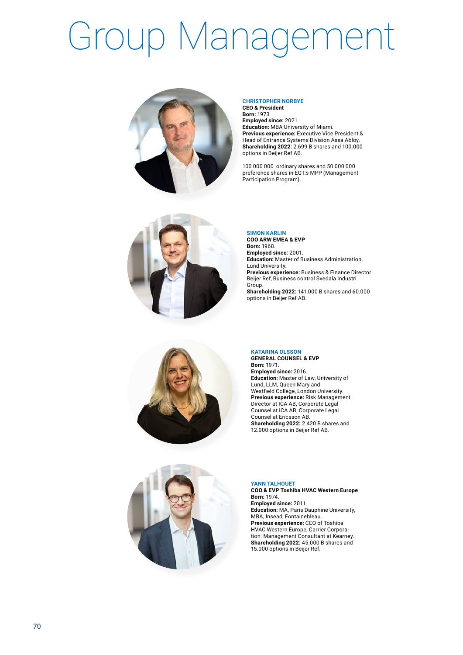# Group Management





**Employed since:** 2021. **Education:** MBA University of Miami. **Previous experience:** Executive Vice President & Head of Entrance Systems Division Assa Abloy. **Shareholding 2022:** 2.699 B shares and 100.000 options in Beijer Ref AB.

100 000 000 ordinary shares and 50 000 000 preference shares in EQT:s MPP (Management Participation Program).





**SIMON KARLIN COO ARW EMEA & EVP Born:** 1968. **Employed since:** 2001. **Education:** Master of Business Administration, Lund University. **Previous experience:** Business & Finance Director Beijer Ref, Business control Svedala Industri Group.

**Shareholding 2022:** 141.000 B shares and 60.000 options in Beijer Ref AB.

### **KATARINA OLSSON**

**GENERAL COUNSEL & EVP Born:** 1971. **Employed since:** 2016. **Education:** Master of Law, University of Lund, LLM, Queen Mary and Westfield College, London University. **Previous experience:** Risk Management Director at ICA AB, Corporate Legal Counsel at ICA AB, Corporate Legal Counsel at Ericsson AB. **Shareholding 2022:** 2.420 B shares and 12.000 options in Beijer Ref AB.



#### **YANN TALHOUËT**

**COO & EVP Toshiba HVAC Western Europe Born:** 1974. **Employed since:** 2011. **Education:** MA, Paris Dauphine University, MBA, Insead, Fontainebleau. **Previous experience:** CEO of Toshiba HVAC Western Europe, Carrier Corporation. Management Consultant at Kearney. **Shareholding 2022:** 45.000 B shares and 15.000 options in Beijer Ref.